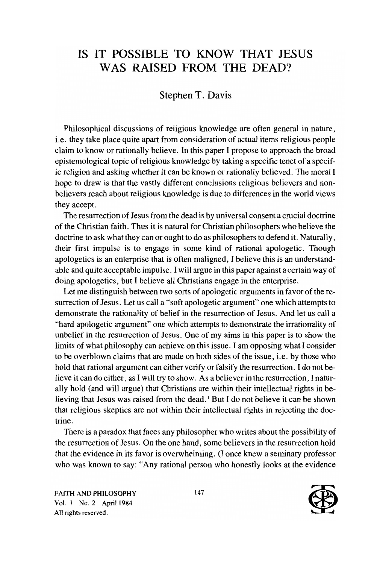# IS IT POSSIBLE TO KNOW THAT JESUS WAS RAISED FROM THE DEAD?

# Stephen T. Davis

Philosophical discussions of religious knowledge are often general in nature, i.e. they take place quite apart from consideration of actual items religious people claim to know or rationally believe. In this paper I propose to approach the broad epistemological topic of religious knowledge by taking a specific tenet of a specific religion and asking whether it can be known or rationally believed. The moral I hope to draw is that the vastly different conclusions religious believers and nonbelievers reach about religious knowledge is due to differences in the world views they accept.

The resurrection of Jesus from the dead is by universal consent a crucial doctrine of the Christian faith. Thus it is natural for Christian philosophers who believe the doctrine to ask what they can or ought to do as philosophers to defend it. Naturally, their first impulse is to engage in some kind of rational apologetic. Though apologetics is an enterprise that is often maligned, I believe this is an understandable and quite acceptable impulse. I will argue in this paper against a certain way of doing apologetics, but I believe all Christians engage in the enterprise.

Let me distinguish between two sorts of apologetic arguments in favor of the resurrection of Jesus. Let us call a "soft apologetic argument" one which attempts to demonstrate the rationality of belief in the resurrection of Jesus. And let us call a "hard apologetic argument" one which attempts to demonstrate the irrationality of unbelief in the resurrection of Jesus. One of my aims in this paper is to show the limits of what philosophy can achieve on this issue. I am opposing what I consider to be overblown claims that are made on both sides of the issue, i. e. by those who hold that rational argument can either verify or falsify the resurrection. I do not believe it can do either, as I will try to show. As a believer in the resurrection, I naturally hold (and will argue) that Christians are within their intellectual rights in believing that Jesus was raised from the dead. I But I do not believe it can be shown that religious skeptics are not within their intellectual rights in rejecting the doctrine.

There is a paradox that faces any philosopher who writes about the possibility of the resurrection of Jesus. On the one hand, some believers in the resurrection hold that the evidence in its favor is overwhelming. (I once knew a seminary professor who was known to say: "Any rational person who honestly looks at the evidence

FAITH AND PHILOSOPHY Vol. 1 No.2 April1984 All rights reserved.

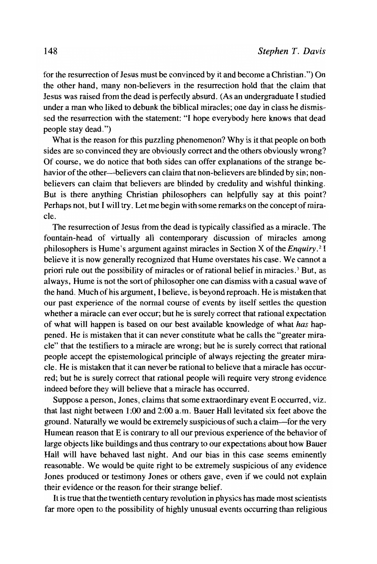for the resurrection of Jesus must be convinced by it and become a Christian.") On the other hand, many non-believers in the resurrection hold that the claim that Jesus was raised from the dead is perfectly absurd. (As an undergraduate 1 studied under a man who liked to debunk the biblical miracles; one day in class he dismissed the resurrection with the statement: "1 hope everybody here knows that dead people stay dead.")

What is the reason for this puzzling phenomenon? Why is it that people on both sides are so convinced they are obviously correct and the others obviously wrong? Of course, we do notice that both sides can offer explanations of the strange behavior of the other-believers can claim that non-believers are blinded by sin; nonbelievers can claim that believers are blinded by credulity and wishful thinking. But is there anything Christian philosophers can helpfully say at this point? Perhaps not, but I will try. Let me begin with some remarks on the concept of miracle.

The resurrection of Jesus from the dead is typically classified as a miracle. The fountain-head of virtually all contemporary discussion of miracles among philosophers is Hume' s argument against miracles in Section X of the *Enquiry.* 2 I believe it is now generally recognized that Hume overstates his case. We cannot a priori rule out the possibility of miracles or of rational belief in miracles. 3 But, as always, Hume is not the sort of philosopher one can dismiss with a casual wave of the hand. Much of his argument, I believe, is beyond reproach. He is mistaken that our past experience of the normal course of events by itself settles the question whether a miracle can ever occur; but he is surely correct that rational expectation of what will happen is based on our best available knowledge of what *has* happened. He is mistaken that it can never constitute what he calls the "greater miracle" that the testifiers to a miracle are wrong; but he is surely correct that rational people accept the epistemological principle of always rejecting the greater miracle. He is mistaken that it can never be rational to believe that a miracle has occurred; but he is surely correct that rational people will require very strong evidence indeed before they will believe that a miracle has occurred.

Suppose a person, Jones, claims that some extraordinary event E occurred, viz. that last night between 1:00 and 2:00 a.m. Bauer Hall levitated six feet above the ground. Naturally we would be extremely suspicious of such a claim-for the very Humean reason that E is contrary to all our previous experience of the behavior of large objects like buildings and thus contrary to our expectations about how Bauer Hall will have behaved last night. And our bias in this case seems eminently reasonable. We would be quite right to be extremely suspicious of any evidence Jones produced or testimony Jones or others gave, even if we could not explain their evidence or the reason for their strange belief.

It is true that the twentieth century revolution in physics has made most scientists far more open to the possibility of highly unusual events occurring than religious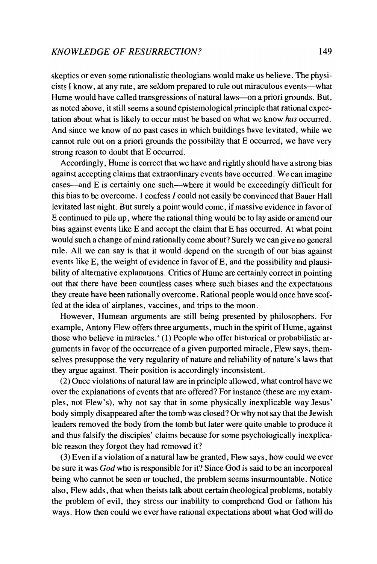skeptics or even some rationalistic theologians would make us believe. The physicists I know, at any rate, are seldom prepared to rule out miraculous events-what Hume would have called transgressions of natural laws-on a priori grounds. But, as noted above, it still seems a sound epistemological principle that rational expectation about what is likely to occur must be based on what we know *has* occurred. And since we know of no past cases in which buildings have levitated, while we cannot rule out on a priori grounds the possibility that E occurred, we have very strong reason to doubt that E occurred.

Accordingly, Hume is correct that we have and rightly should have a strong bias against accepting claims that extraordinary events have occurred. We can imagine cases-and E is certainly one such-where it would be exceedingly difficult for this bias to be overcome. I confess I could not easily be convinced that Bauer Hall levitated last night. But surely a point would come, if massive evidence in favor of E continued to pile up, where the rational thing would be to lay aside or amend our bias against events like E and accept the claim that E has occurred. At what point would such a change of mind rationally come about? Surely we can give no general rule. All we can say is that it would depend on the strength of our bias against events like E, the weight of evidence in favor of E, and the possibility and plausibility of alternative explanations. Critics of Hume are certainly correct in pointing out that there have been countless cases where such biases and the expectations they create have been rationally overcome. Rational people would once have scoffed at the idea of airplanes, vaccines, and trips to the moon.

However, Humean arguments are still being presented by philosophers. For example, Antony Flew offers three arguments, much in the spirit of Hume, against those who believe in miracles. 4 (1) People who offer historical or probabilistic arguments in favor of the occurrence of a given purported miracle, Flew says, themselves presuppose the very regularity of nature and reliability of nature's laws that they argue against. Their position is accordingly inconsistent.

(2) Once violations of natural law are in principle allowed, what control have we over the explanations of events that are offered? For instance (these are my examples, not Flew's), why not say that in some physically inexplicable way Jesus' body simply disappeared after the tomb was closed? Or why not say that the Jewish leaders removed the body from the tomb but later were quite unable to produce it and thus falsify the disciples' claims because for some psychologically inexplicable reason they forgot they had removed it?

(3) Even if a violation of a natural law be granted, Flew says, how could we ever be sure it was *God* who is responsible for it? Since God is said to be an incorporeal being who cannot be seen or touched, the problem seems insurmountable. Notice also, Flew adds, that when theists talk about certain theological problems, notably the problem of evil, they stress our inability to comprehend God or fathom his ways. How then could we ever have rational expectations about what God will do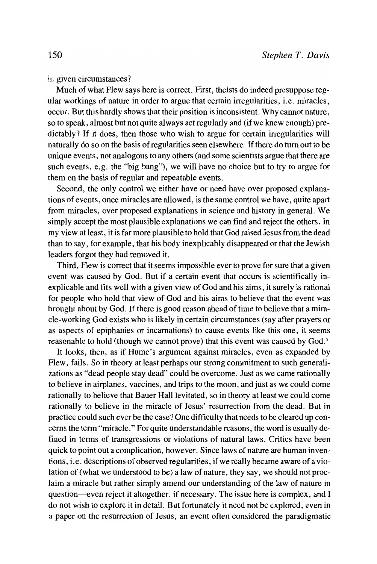#### in given circumstances?

Much of what Flew says here is correct. First, theists do indeed presuppose regular workings of nature in order to argue that certain irregularities, i.e. miracles, occur. But this hardly shows that their position is inconsistent. Why cannot nature, so to speak, almost but not quite always act regularly and (if we knew enough) predictably? If it does, then those who wish to argue for certain irregularities will naturally do so on the basis of regularities seen elsewhere. If there do tum out to be unique events, not analogous to any others (and some scientists argue that there are such events, e.g. the "big bang"), we will have no choice but to try to argue for them on the basis of regular and repeatable events.

Second, the only control we either have or need have over proposed explanations of events, once miracles are allowed, is the same control we have, quite apart from miracles, over proposed explanations in science and history in general. We simply accept the most plausible explanations we can find and reject the others. In my view at least, it is far more plausible to hold that God raised Jesus from the dead than to say, for example, that his body inexplicably disappeared or that the Jewish leaders forgot they had removed it.

Third, Flew is correct that it seems impossible ever to prove for sure that a given event was caused by God. But if a certain event that occurs is scientifically inexplicable and fits well with a given view of God and his aims, it surely is rational for people who hold that view of God and his aims to believe that the event was brought about by God. If there is good reason ahead of time to believe that a miracle-working God exists who is likely in certain circumstances (say after prayers or as aspects of epiphanies or incarnations) to cause events like this one, it seems reasonable to hold (though we cannot prove) that this event was caused by God.'

It looks, then, as if Hume's argument against miracles, even as expanded by Flew, fails. So in theory at least perhaps our strong commitment to such generalizations as "dead people stay dead" could be overcome. Just as we came rationally to believe in airplanes, vaccines, and trips to the moon, and just as we could come rationally to believe that Bauer Hall levitated, so in theory at least we could come rationally to believe in the miracle of Jesus' resurrection from the dead. But in practice could such ever be the case? One difficulty that needs to be cleared up concerns the term "miracle." For quite understandable reasons, the word is usually defined in terms of transgressions or violations of natural laws. Critics have been quick to point out a complication, however. Since laws of nature are human inventions, i. e. descriptions of observed regularities, if we really became aware of a violation of (what we understood to be) a law of nature, they say, we should not proclaim a miracle but rather simply amend our understanding of the law of nature in question--even reject it altogether, if necessary. The issue here is complex, and I do not wish to explore it in detail. But fortunately it need not be explored, even in a paper on the resurrection of Jesus, an event often considered the paradigmatic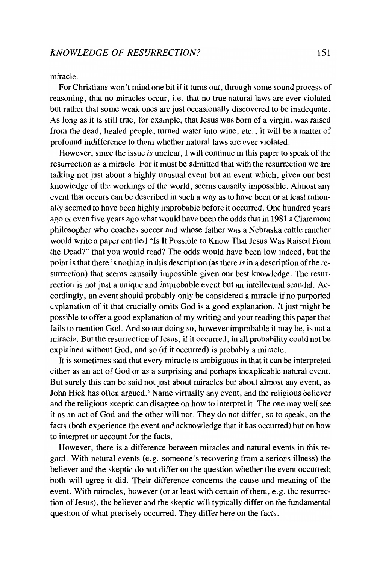## miracle.

For Christians won't mind one bit if it turns out, through some sound process of reasoning, that no miracles occur, i.e. that no true natural laws are ever violated but rather that some weak ones are just occasionally discovered to be inadequate. As long as it is still true, for example, that Jesus was born of a virgin, was raised from the dead, healed people, turned water into wine, etc., it wiIl be a matter of profound indifference to them whether natural laws are ever violated.

However, since the issue *is* unclear, I will continue in this paper to speak of the resurrection as a miracle. For it must be admitted that with the resurrection we are talking not just about a highly unusual event but an event which, given our best knowledge of the workings of the world, seems causally impossible. Almost any event that occurs can be described in such a way as to have been or at least rationally seemed to have been highly improbable before it occurred. One hundred years ago or even five years ago what would have been the odds that in 1981 a Claremont philosopher who coaches soccer and whose father was a Nebraska cattle rancher would write a paper entitled "Is It Possible to Know That Jesus Was Raised From the Dead?" that you would read? The odds would have been low indeed, but the point is that there is nothing in this description (as there *is* in a description of the resurrection) that seems causally impossible given our best knowledge. The resurrection is not just a unique and improbable event but an intellectual scandal. Accordingly, an event should probably only be considered a miracle if no purported explanation of it that crucially omits God is a good explanation. It just might be possible to offer a good explanation of my writing and your reading this paper that fails to mention God. And so our doing so, however improbable it may be, is not a miracle. But the resurrection of Jesus, if it occurred, in all probability could not be explained without God, and so (if it occurred) is probably a miracle.

It is sometimes said that every miracle is ambiguous in that it can be interpreted either as an act of God or as a surprising and perhaps inexplicable natural event. But surely this can be said not just about miracles but about almost any event, as John Hick has often argued. 6 Name virtually any event, and the religious believer and the religious skeptic can disagree on how to interpret it. The one may well see it as an act of God and the other will not. They do not differ, so to speak, on the facts (both experience the event and acknowledge that it has occurred) but on how to interpret or account for the facts.

However, there is a difference between miracles and natural events in this regard. With natural events (e.g. someone's recovering from a serious illness) the believer and the skeptic do not differ on the question whether the event occurred; both will agree it did. Their difference concerns the cause and meaning of the event. With miracles, however (or at least with certain of them, e.g. the resurrection of Jesus), the believer and the skeptic will typically differ on the fundamental question of what precisely occurred. They differ here on the facts.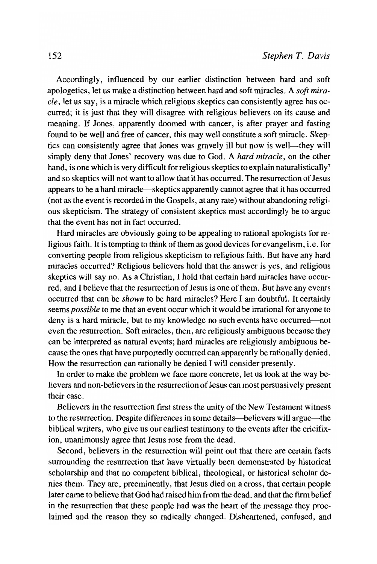Accordingly, influenced by our earlier distinction between hard and soft apologetics, let us make a distinction between hard and soft miracles. A *soft miracle,* let us say, is a miracle which religious skeptics can consistently agree has occurred; it is just that they will disagree with religious believers on its cause and meaning. If Jones, apparently doomed with cancer, is after prayer and fasting found to be well and free of cancer, this may well constitute a soft miracle. Skeptics can consistently agree that Jones was gravely ill but now is well-they will simply deny that Jones' recovery was due to God. A *hard miracle,* on the other hand, is one which is very difficult for religious skeptics to explain naturalistically<sup>7</sup> and so skeptics will not want to allow that it has occurred. The resurrection of Jesus appears to be a hard miracle-skeptics apparently cannot agree that it has occurred (not as the event is recorded in the Gospels, at any rate) without abandoning religious skepticism. The strategy of consistent skeptics must accordingly be to argue that the event has not in fact occurred.

Hard miracles are obviously going to be appealing to rational apologists for religious faith. It is tempting to think of them as good devices for evangelism, i.e. for converting people from religious skepticism to religious faith. But have any hard miracles occurred? Religious believers hold that the answer is yes, and religious skeptics will say no. As a Christian, I hold that certain hard miracles have occurred, and I believe that the resurrection of Jesus is one of them. But have any events occurred that can be *shown* to be hard miracles? Here I am doubtful. It certainly seems *possible* to me that an event occur which it would be irrational for anyone to deny is a hard miracle, but to my knowledge no such events have occurred-not even the resurrection. Soft miracles, then, are religiously ambiguous because they can be interpreted as natural events; hard miracles are religiously ambiguous because the ones that have purportedly occurred can apparently be rationally denied. How the resurrection can rationally be denied I will consider presently.

In order to make the problem we face more concrete, let us look at the way believers and non-believers in the resurrection of Jesus can most persuasively present their case.

Believers in the resurrection first stress the unity of the New Testament witness to the resurrection. Despite differences in some details-believers will argue-the biblical writers, who give us our earliest testimony to the events after the cricifixion, unanimously agree that Jesus rose from the dead.

Second, believers in the resurrection will point out that there are certain facts surrounding the resurrection that have virtually been demonstrated by historical scholarship and that no competent biblical, theological, or historical scholar denies them. They are, preeminently, that Jesus died on a cross, that certain people later came to believe that God had raised him from the dead, and that the firm belief in the resurrection that these people had was the heart of the message they proclaimed and the reason they so radically changed. Disheartened, confused, and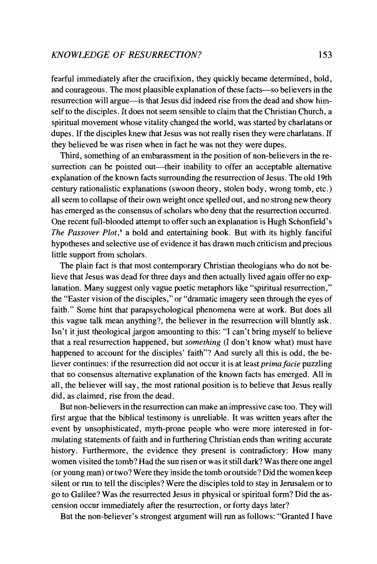fearful immediately after the crucifixion, they quickly became determined, bold, and courageous. The most plausible explanation of these facts-so believers in the resurrection will argue—is that Jesus did indeed rise from the dead and show himself to the disciples. It does not seem sensible to claim that the Christian Church, a spiritual movement whose vitality changed the world, was started by charlatans or dupes. If the disciples knew that Jesus was not really risen they were charlatans. If they believed he was risen when in fact he was not they were dupes.

Third, something of an embarassment in the position of non-believers in the resurrection can be pointed out—their inability to offer an acceptable alternative explanation of the known facts surrounding the resurrection of Jesus. The old 19th century rationalistic explanations (swoon theory, stolen body, wrong tomb, etc.) all seem to collapse of their own weight once spelled out, and no strong new theory has emerged as the consensus of scholars who deny that the resurrection occurred. One recent full-blooded attempt to offer such an explanation is Hugh Schonfield's *The Passover Plot*,<sup>8</sup> a bold and entertaining book. But with its highly fanciful hypotheses and selective use of evidence it has drawn much criticism and precious little support from scholars.

The plain fact is that most contemporary Christian theologians who do not believe that Jesus was dead for three days and then actually lived again offer no explanation. Many suggest only vague poetic metaphors like "spiritual resurrection," the "Easter vision of the disciples," or "dramatic imagery seen through the eyes of faith." Some hint that parapsychological phenomena were at work. But does all this vague talk mean anything?, the believer in the resurrection will bluntly ask. Isn't it just theological jargon amounting to this: "I can't bring myself to believe that a real resurrection happened, but *something* (I don't know what) must have happened to account for the disciples' faith"? And surely all this is odd, the believer continues: if the resurrection did not occur it is at least *prima facie* puzzling that no consensus alternative explanation of the known facts has emerged. All in all, the believer will say, the most rational position is to believe that Jesus really did, as claimed, rise from the dead.

But non-believers in the resurrection can make an impressive case too. They will first argue that the biblical testimony is unreliable. It was written years after the event by unsophisticated, myth-prone people who were more interested in formulating statements of faith and in furthering Christian ends than writing accurate history. Furthermore, the evidence they present is contradictory: How many women visited the tomb? Had the sun risen or was it still dark? Was there one angel (or young man) or two? Were they inside the tomb or outside? Did the women keep silent or run to tell the disciples? Were the disciples told to stay in Jerusalem or to go to Galilee? Was the resurrected Jesus in physical or spiritual form? Did the ascension occur immediately after the resurrection, or forty days later?

But the non-believer's strongest argument will run as follows: "Granted I have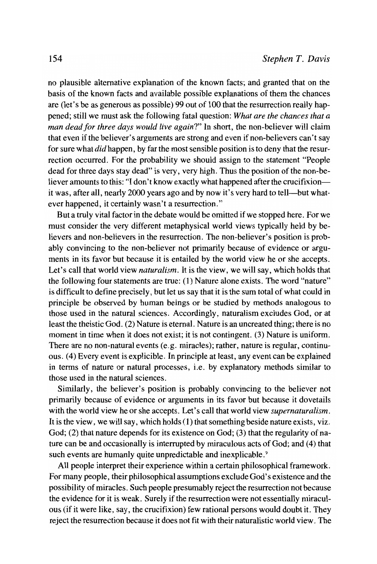no plausible alternative explanation of the known facts; and granted that on the basis of the known facts and available possible explanations of them the chances are (let's be as generous as possible) 99 out of 100 that the resurrection really happened; still we must ask the following fatal question: *What are the chances that a man dead for three days would live again?"* **In** short, the non-believer will claim that even if the believer's arguments are strong and even if non-believers can't say for sure what *did* happen, by far the most sensible position is to deny that the resurrection occurred. For the probability we should assign to the statement "People dead for three days stay dead" is very, very high. Thus the position of the non-believer amounts to this: "I don't know exactly what happened after the crucifixionit was, after all, nearly 2000 years ago and by now it's very hard to tell-but whatever happened, it certainly wasn't a resurrection."

But a truly vital factor in the debate would be omitted if we stopped here. For we must consider the very different metaphysical world views typically held by believers and non-believers in the resurrection. The non-believer's position is probably convincing to the non-believer not primarily because of evidence or arguments in its favor but because it is entailed by the world view he or she accepts. Let's call that world view *naturalism.* It is the view, we will say, which holds that the following four statements are true: (1) Nature alone exists. The word "nature" is difficult to define precisely, but let us say that it is the sum total of what could in principle be observed by human beings or be studied by methods analogous to those used in the natural sciences. Accordingly, naturalism excludes God, or at least the theistic God. (2) Nature is eternal. Nature is an uncreated thing; there is no moment in time when it does not exist; it is not contingent. (3) Nature is uniform. There are no non-natural events (e.g. miracles); rather, nature is regular, continuous. (4) Every event is explicible. **In** principle at least, any event can be explained in terms of nature or natural processes, i.e. by explanatory methods similar to those used in the natural sciences.

Similarly, the believer's position is probably convincing to the believer not primarily because of evidence or arguments in its favor but because it dovetails with the world view he or she accepts. Let's call that world view *supernaturalism.*  It is the view, we will say, which holds (1) that something beside nature exists, viz. God; (2) that nature depends for its existence on God; (3) that the regularity of nature can be and occasionally is interrupted by miraculous acts of God; and (4) that such events are humanly quite unpredictable and inexplicable.<sup>9</sup>

All people interpret their experience within a certain philosophical framework. For many people, their philosophical assumptions exclude God's existence and the possibility of miracles. Such people presumably reject the resurrection not because the evidence for it is weak. Surely if the resurrection were not essentially miraculous (if it were like, say, the crucifixion) few rational persons would doubt it. They reject the resurrection because it does not fit with their naturalistic world view. The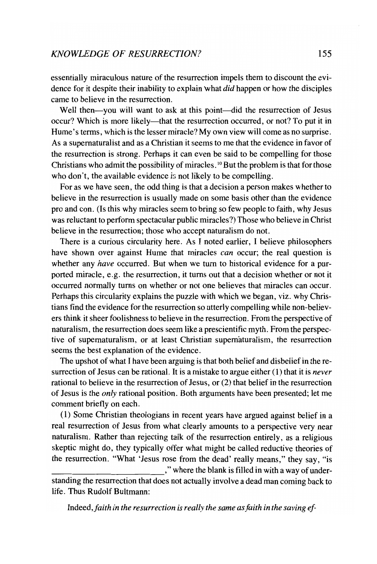essentially miraculous nature of the resurrection impels them to discount the evidence for it despite their inability to explain what *did* happen or how the disciples came to believe in the resurrection.

Well then—you will want to ask at this point—did the resurrection of Jesus occur? Which is more likely—that the resurrection occurred, or not? To put it in Hume's terms, which is the lesser miracle? My own view will come as no surprise. As a supernaturalist and as a Christian it seems to me that the evidence in favor of the resurrection is strong. Perhaps it can even be said to be compelling for those Christians who admit the possibility of miracles. 10 But the problem is that for those who don't, the available evidence is not likely to be compelling.

For as we have seen, the odd thing is that a decision a person makes whether to believe in the resurrection is usually made on some basis other than the evidence pro and con. (Is this why miracles seem to bring so few people to faith, why Jesus was reluctant to perform spectacular public miracles?) Those who believe in Christ believe in the resurrection; those who accept naturalism do not.

There is a curious circularity here. As I noted earlier, I believe philosophers have shown over against Hume that miracles *can* occur; the real question is whether any *have* occurred. But when we tum to historical evidence for a purported miracle, e.g. the resurrection, it turns out that a decision whether or not it occurred nonnally turns on whether or not one believes that miracles can occur. Perhaps this circularity explains the puzzle with which we began, viz. why Christians find the evidence for the resurrection so utterly compelling while non-believers think it sheer foolishness to believe in the resurrection. From the perspective of naturalism, the resurrection does seem like a prescientific myth. From the perspective of supernaturalism, or at least Christian supernaturalism, the resurrection seems the best explanation of the evidence.

The upshot of what I have been arguing is that both belief and disbelief in the resurrection of Jesus can be rational. It is a mistake to argue either (1) that it is *never*  rational to believe in the resurrection of Jesus, or (2) that belief in the resurrection of Jesus is the *only* rational position. Both arguments have been presented; let me comment briefly on each.

(1) Some Christian theologians in recent years have argued against belief in a real resurrection of Jesus from what clearly amounts to a perspective very near naturalism. Rather than rejecting talk of the resurrection entirely, as a religious skeptic might do, they typically offer what might be called reductive theories of the resurrection. "What 'Jesus rose from the dead' really means," they say, "is \_\_\_\_\_\_\_\_\_\_\_\_ ," where the blank is filled in with a way of understanding the resurrection that does not actually involve a dead man coming back to life. Thus Rudolf Bultmann:

*Indeed,faith in the resurrection is really the same asfaith in the saving ef-*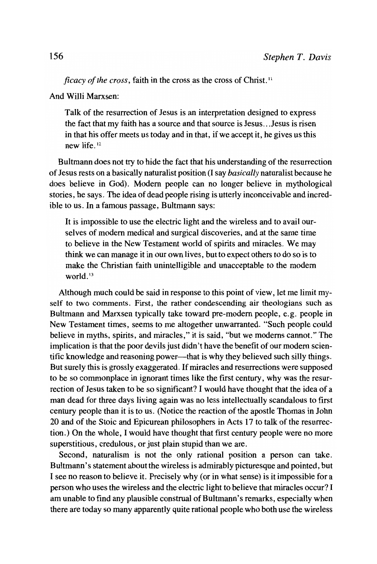*ficacy of the cross*, faith in the cross as the cross of Christ.<sup>11</sup>

And Willi Marxsen:

Talk of the resurrection of Jesus is an interpretation designed to express the fact that my faith has a source and that source is Jesus ... Jesus is risen in that his offer meets us today and in that, if we accept it, he gives us this new life. 12

Bultmann does not try to hide the fact that his understanding of the resurrection of Jesus rests on a basically naturalist position (I say *basically* naturalist because he does believe in God). Modem people can no longer believe in mythological stories, he says. The idea of dead people rising is utterly inconceivable and incredible to us. In a famous passage, Bultmann says:

It is impossible to use the electric light and the wireless and to avail ourselves of modem medical and surgical discoveries, and at the same time to believe in the New Testament world of spirits and miracles. We may think we can manage it in Our own lives, but to expect others to do so is to make the Christian faith unintelligible and unacceptable to the modem world. 13

Although much could be said in response to this point of view, let me limit myself to two comments. First, the rather condescending air theologians such as Bultmann and Marxsen typically take toward pre-modem people, e.g. people in New Testament times, seems to me altogether unwarranted. "Such people could believe in myths, spirits, and miracles," it is said, "but we modems cannot." The implication is that the poor devils just didn't have the benefit of our modem scientific knowledge and reasoning power—that is why they believed such silly things. But surely this is grossly exaggerated. If miracles and resurrections were supposed to be so commonplace in ignorant times like the first century, why was the resurrection of Jesus taken to be so significant? I would have thought that the idea of a man dead for three days living again was no less intellectually scandalous to first century people than it is to us. (Notice the reaction of the apostle Thomas in John 20 and of the Stoic and Epicurean philosophers in Acts 17 to talk of the resurrection.) On the whole, 1 would have thought that first century people were no more superstitious, credulous, or just plain stupid than we are.

Second, naturalism is not the only rational position a person can take. Bultmann's statement about the wireless is admirably picturesque and pointed, but I see no reason to believe it. Precisely why (or in what sense) is it impossible for a person who uses the wireless and the electric light to believe that miracles occur? I am unable to find any plausible construal of Bultmann's remarks, especially when there are today so many apparently quite rational people who both use the wireless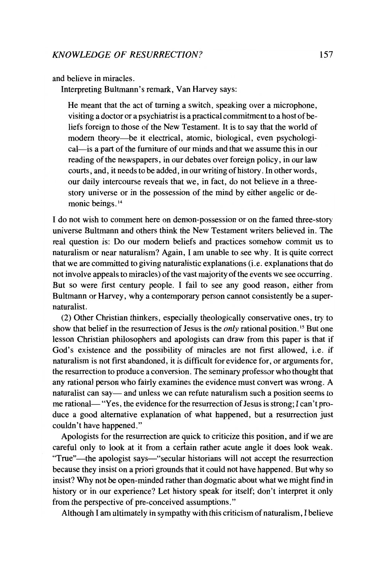and believe in miracles.

Interpreting Bultmann's remark, Van Harvey says:

He meant that the act of turning a switch, speaking over a microphone, visiting a doctor or a psychiatrist is a practical commitment to a host of beliefs foreign to those of the New Testament. It is to say that the world of modern theory-be it electrical, atomic, biological, even psychological—is a part of the furniture of our minds and that we assume this in our reading of the newspapers, in our debates over foreign policy, in our law courts, and, it needs to be added, in our writing of history . In other words, our daily intercourse reveals that we, in fact, do not believe in a threestory universe or in the possession of the mind by either angelic or demonic beings.<sup>14</sup>

I do not wish to comment here on demon-possession or on the famed three-story universe Bultmann and others think the New Testament writers believed in. The real question is: Do our modern beliefs and practices somehow commit us to naturalism or near naturalism? Again, I am unable to see why. It is quite correct that we are committed to giving naturalistic explanations (i.e. explanations that do not involve appeals to miracles) of the vast majority of the events we see occurring. But so were first century people. I fail to see any good reason, either from Bultmann or Harvey, why a contemporary person cannot consistently be a supernaturalist.

(2) Other Christian thinkers, especially theologically conservative ones, try to show that belief in the resurrection of Jesus is the *only* rational position.<sup>15</sup> But one lesson Christian philosophers and apologists can draw from this paper is that if God's existence and the possibility of miracles are not first allowed, i.e. if naturalism is not first abandoned, it is difficult for evidence for, or arguments for, the resurrection to produce a conversion. The seminary professor who thought that any rational person who fairly examines the evidence must convert was wrong. A naturalist can say— and unless we can refute naturalism such a position seems to me rational— "Yes, the evidence for the resurrection of Jesus is strong; I can't produce a good alternative explanation of what happened, but a resurrection just couldn't have happened."

Apologists for the resurrection are quick to criticize this position, and if we are careful only to look at it from a certain rather acute angle it does look weak. "True"—the apologist says—"secular historians will not accept the resurrection because they insist on a priori grounds that it could not have happened. But why so insist? Why not be open-minded rather than dogmatic about what we might find in history or in our experience? Let history speak for itself; don't interpret it only from the perspective of pre-conceived assumptions."

Although I am ultimately in sympathy with this criticism of naturalism, I believe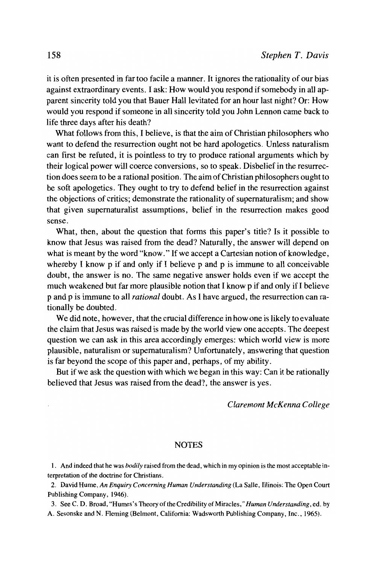it is often presented in far too facile a manner. It ignores the rationality of our bias against extraordinary events. I ask: How would you respond if somebody in all apparent sincerity told you that Bauer Hall levitated for an hour last night? Or: How would you respond if someone in all sincerity told you John Lennon came back to life three days after his death?

What follows from this, I believe, is that the aim of Christian philosophers who want to defend the resurrection ought not be hard apologetics. Unless naturalism can first be refuted, it is pointless to try to produce rational arguments which by their logical power will coerce conversions, so to speak. Disbelief in the resurrection does seem to be a rational position. The aim of Christian philosophers ought to be soft apologetics. They ought to try to defend belief in the resurrection against the objections of critics; demonstrate the rationality of supernaturalism; and show that given supernaturalist assumptions, belief in the resurrection makes good sense.

What, then, about the question that forms this paper's title? Is it possible to know that Jesus was raised from the dead? Naturally, the answer will depend on what is meant by the word "know." If we accept a Cartesian notion of knowledge, whereby I know p if and only if I believe p and p is immune to all conceivable doubt, the answer is no. The same negative answer holds even if we accept the much weakened but far more plausible notion that I know p if and only if I believe p and p is immune to all *rational* doubt. As I have argued, the resurrection can rationally be doubted.

We did note, however, that the crucial difference in how one is likely to evaluate the claim that Jesus was raised is made by the world view one accepts. The deepest question we can ask in this area accordingly emerges: which world view is more plausible, naturalism or supernaturalism? Unfortunately, answering that question is far beyond the scope of this paper and, perhaps, of my ability.

But if we ask the question with which we began in this way: Can it be rationally believed that Jesus was raised from the dead?, the answer is yes.

*Claremont McKenna College* 

#### NOTES

1. And indeed that he was *bodily* raised from the dead, which in my opinion is the most acceptable interpretation of the doctrine for Christians.

2. David Hume, *An Enquiry Concerning Human Understanding* (La Salle, Illinois: The Open Court Publishing Company, 1946).

3. See C. D. Broad, "Humes's Theory of the Credibility of Miracles," *Human Understanding,* ed. by A. Sesonske and N. Fleming (Belmont, California: Wadsworth Publishing Company, Inc., 1965).